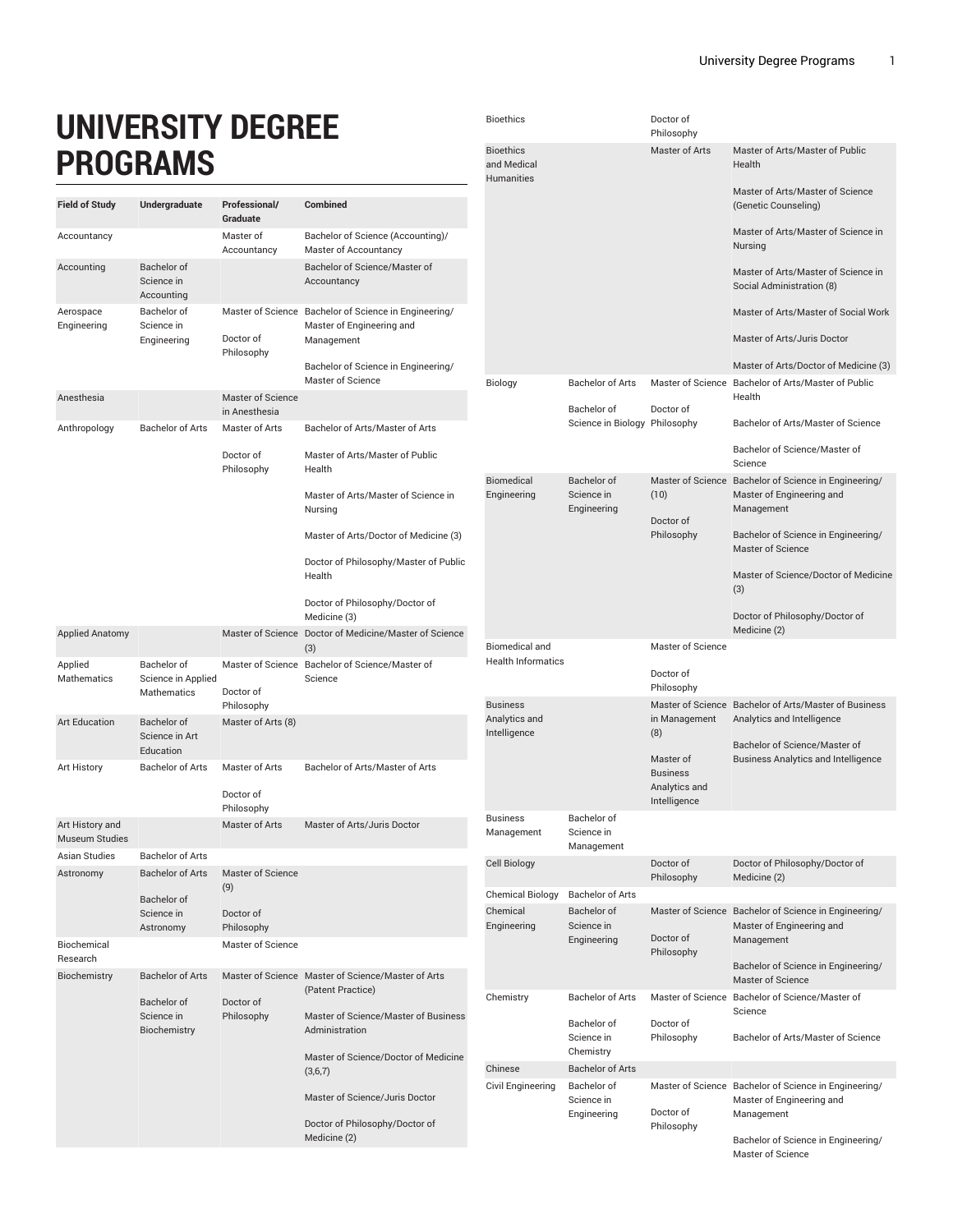## **UNIVERSITY DEGREE PROGRAMS**

| <b>Field of Study</b>                    | Undergraduate                                           | Professional/<br>Graduate          | <b>Combined</b>                                                                                                                                              |
|------------------------------------------|---------------------------------------------------------|------------------------------------|--------------------------------------------------------------------------------------------------------------------------------------------------------------|
| Accountancy                              |                                                         | Master of<br>Accountancy           | Bachelor of Science (Accounting)/<br>Master of Accountancy                                                                                                   |
| Accounting                               | Bachelor of<br>Science in<br>Accounting                 |                                    | Bachelor of Science/Master of<br>Accountancy                                                                                                                 |
| Aerospace<br>Engineering                 | Bachelor of<br>Science in<br>Engineering                | Doctor of<br>Philosophy            | Master of Science Bachelor of Science in Engineering/<br>Master of Engineering and<br>Management<br>Bachelor of Science in Engineering/<br>Master of Science |
| Anesthesia                               |                                                         | Master of Science<br>in Anesthesia |                                                                                                                                                              |
| Anthropology                             | <b>Bachelor of Arts</b>                                 | Master of Arts                     | Bachelor of Arts/Master of Arts                                                                                                                              |
|                                          |                                                         | Doctor of<br>Philosophy            | Master of Arts/Master of Public<br>Health                                                                                                                    |
|                                          |                                                         |                                    | Master of Arts/Master of Science in<br>Nursing                                                                                                               |
|                                          |                                                         |                                    | Master of Arts/Doctor of Medicine (3)                                                                                                                        |
|                                          |                                                         |                                    | Doctor of Philosophy/Master of Public<br>Health                                                                                                              |
|                                          |                                                         |                                    | Doctor of Philosophy/Doctor of<br>Medicine (3)                                                                                                               |
| <b>Applied Anatomy</b>                   |                                                         |                                    | Master of Science Doctor of Medicine/Master of Science<br>(3)                                                                                                |
| Applied<br><b>Mathematics</b>            | Bachelor of<br>Science in Applied<br><b>Mathematics</b> | Doctor of                          | Master of Science Bachelor of Science/Master of<br>Science                                                                                                   |
| <b>Art Education</b>                     | Bachelor of<br>Science in Art<br>Education              | Philosophy<br>Master of Arts (8)   |                                                                                                                                                              |
| Art History                              | <b>Bachelor of Arts</b>                                 | Master of Arts<br>Doctor of        | Bachelor of Arts/Master of Arts                                                                                                                              |
|                                          |                                                         | Philosophy                         |                                                                                                                                                              |
| Art History and<br><b>Museum Studies</b> |                                                         | Master of Arts                     | Master of Arts/Juris Doctor                                                                                                                                  |
| Asian Studies                            | <b>Bachelor of Arts</b>                                 |                                    |                                                                                                                                                              |
| Astronomy                                | <b>Bachelor of Arts</b><br>Bachelor of                  | Master of Science<br>(9)           |                                                                                                                                                              |
|                                          | Science in<br>Astronomy                                 | Doctor of<br>Philosophy            |                                                                                                                                                              |
| Biochemical<br>Research                  |                                                         | Master of Science                  |                                                                                                                                                              |
| Biochemistry                             | <b>Bachelor of Arts</b>                                 |                                    | Master of Science Master of Science/Master of Arts<br>(Patent Practice)                                                                                      |
|                                          | Bachelor of<br>Science in<br>Biochemistry               | Doctor of<br>Philosophy            | Master of Science/Master of Business<br>Administration                                                                                                       |
|                                          |                                                         |                                    | Master of Science/Doctor of Medicine<br>(3,6,7)                                                                                                              |
|                                          |                                                         |                                    | Master of Science/Juris Doctor                                                                                                                               |
|                                          |                                                         |                                    | Doctor of Philosophy/Doctor of<br>Medicine (2)                                                                                                               |

| <b>Bioethics</b>                                     |                                          | Doctor of<br>Philosophy                       |                                                                                                  |
|------------------------------------------------------|------------------------------------------|-----------------------------------------------|--------------------------------------------------------------------------------------------------|
| <b>Bioethics</b><br>and Medical<br><b>Humanities</b> |                                          | Master of Arts                                | Master of Arts/Master of Public<br>Health                                                        |
|                                                      |                                          |                                               | Master of Arts/Master of Science<br>(Genetic Counseling)                                         |
|                                                      |                                          |                                               | Master of Arts/Master of Science in<br>Nursing                                                   |
|                                                      |                                          |                                               | Master of Arts/Master of Science in<br>Social Administration (8)                                 |
|                                                      |                                          |                                               | Master of Arts/Master of Social Work                                                             |
|                                                      |                                          |                                               | Master of Arts/Juris Doctor                                                                      |
|                                                      |                                          |                                               | Master of Arts/Doctor of Medicine (3)                                                            |
| Biology                                              | <b>Bachelor of Arts</b><br>Bachelor of   | Doctor of                                     | Master of Science Bachelor of Arts/Master of Public<br>Health                                    |
|                                                      | Science in Biology Philosophy            |                                               | Bachelor of Arts/Master of Science                                                               |
|                                                      |                                          |                                               | Bachelor of Science/Master of<br>Science                                                         |
| Biomedical<br>Engineering                            | Bachelor of<br>Science in<br>Engineering | (10)<br>Doctor of                             | Master of Science Bachelor of Science in Engineering/<br>Master of Engineering and<br>Management |
|                                                      |                                          | Philosophy                                    | Bachelor of Science in Engineering/<br><b>Master of Science</b>                                  |
|                                                      |                                          |                                               | Master of Science/Doctor of Medicine<br>(3)                                                      |
|                                                      |                                          |                                               | Doctor of Philosophy/Doctor of<br>Medicine (2)                                                   |
|                                                      |                                          |                                               |                                                                                                  |
| <b>Biomedical and</b>                                |                                          | Master of Science                             |                                                                                                  |
| <b>Health Informatics</b>                            |                                          | Doctor of<br>Philosophy                       |                                                                                                  |
| <b>Business</b><br>Analytics and                     |                                          | in Management                                 | Master of Science Bachelor of Arts/Master of Business<br>Analytics and Intelligence              |
| Intelligence                                         |                                          | (8)                                           | Bachelor of Science/Master of                                                                    |
|                                                      |                                          | Master of<br><b>Business</b><br>Analytics and | <b>Business Analytics and Intelligence</b>                                                       |
| <b>Business</b>                                      | Bachelor of                              | Intelligence                                  |                                                                                                  |
| Management                                           | Science in<br>Management                 |                                               |                                                                                                  |
| Cell Biology                                         |                                          | Doctor of<br>Philosophy                       | Doctor of Philosophy/Doctor of<br>Medicine (2)                                                   |
| <b>Chemical Biology</b>                              | <b>Bachelor of Arts</b>                  |                                               |                                                                                                  |
| Chemical                                             | <b>Bachelor</b> of                       |                                               | Master of Science Bachelor of Science in Engineering/                                            |
| Engineering                                          | Science in<br>Engineering                | Doctor of                                     | Master of Engineering and<br>Management                                                          |
|                                                      |                                          | Philosophy                                    | Bachelor of Science in Engineering/<br><b>Master of Science</b>                                  |
| Chemistry                                            | <b>Bachelor of Arts</b>                  |                                               | Master of Science Bachelor of Science/Master of<br>Science                                       |
|                                                      | Bachelor of<br>Science in<br>Chemistry   | Doctor of<br>Philosophy                       | Bachelor of Arts/Master of Science                                                               |
| Chinese                                              | <b>Bachelor of Arts</b>                  |                                               |                                                                                                  |
| Civil Engineering                                    | Bachelor of<br>Science in<br>Engineering | Doctor of<br>Philosophy                       | Master of Science Bachelor of Science in Engineering/<br>Master of Engineering and<br>Management |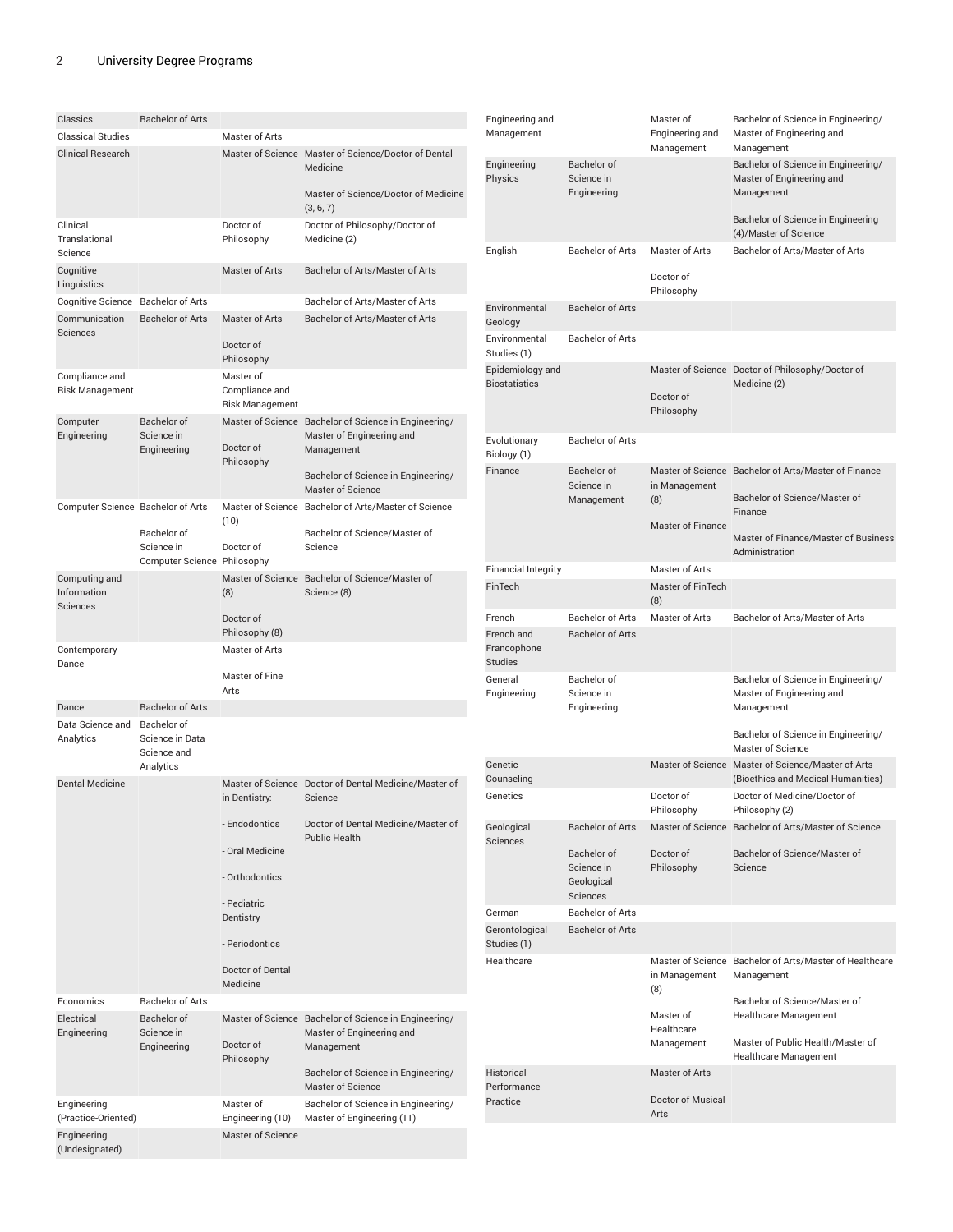(Undesignated)

| Classics                                  | <b>Bachelor of Arts</b>                     |                                                       |                                                                                                                                         | En                |
|-------------------------------------------|---------------------------------------------|-------------------------------------------------------|-----------------------------------------------------------------------------------------------------------------------------------------|-------------------|
| <b>Classical Studies</b>                  |                                             | Master of Arts                                        |                                                                                                                                         | Ma                |
| <b>Clinical Research</b>                  |                                             |                                                       | Master of Science Master of Science/Doctor of Dental<br>Medicine<br>Master of Science/Doctor of Medicine                                | En<br>Ph          |
|                                           |                                             |                                                       | (3, 6, 7)                                                                                                                               |                   |
| Clinical<br>Translational<br>Science      |                                             | Doctor of<br>Philosophy                               | Doctor of Philosophy/Doctor of<br>Medicine (2)                                                                                          | En                |
| Cognitive<br>Linguistics                  |                                             | Master of Arts                                        | Bachelor of Arts/Master of Arts                                                                                                         |                   |
| Cognitive Science Bachelor of Arts        |                                             |                                                       | Bachelor of Arts/Master of Arts                                                                                                         | En <sub>'</sub>   |
| Communication<br>Sciences                 | <b>Bachelor of Arts</b>                     | Master of Arts<br>Doctor of                           | Bachelor of Arts/Master of Arts                                                                                                         | Ge<br>En<br>Stu   |
|                                           |                                             | Philosophy                                            |                                                                                                                                         | Epi               |
| Compliance and<br><b>Risk Management</b>  |                                             | Master of<br>Compliance and<br><b>Risk Management</b> |                                                                                                                                         | Bio               |
| Computer<br>Engineering                   | Bachelor of<br>Science in<br>Engineering    | Doctor of<br>Philosophy                               | Master of Science Bachelor of Science in Engineering/<br>Master of Engineering and<br>Management<br>Bachelor of Science in Engineering/ | Evo<br>Bio<br>Fin |
|                                           |                                             |                                                       | <b>Master of Science</b>                                                                                                                |                   |
| Computer Science Bachelor of Arts         | Bachelor of                                 | (10)                                                  | Master of Science Bachelor of Arts/Master of Science<br>Bachelor of Science/Master of                                                   |                   |
|                                           | Science in<br>Computer Science Philosophy   | Doctor of                                             | Science                                                                                                                                 | Fin               |
| Computing and<br>Information<br>Sciences  |                                             | (8)                                                   | Master of Science Bachelor of Science/Master of<br>Science (8)                                                                          | Fin               |
|                                           |                                             | Doctor of<br>Philosophy (8)                           |                                                                                                                                         | Fre<br>Fre        |
| Contemporary<br>Dance                     |                                             | Master of Arts<br>Master of Fine                      |                                                                                                                                         | Fra<br>Stu<br>Ge  |
|                                           |                                             | Arts                                                  |                                                                                                                                         | En                |
| Dance                                     | <b>Bachelor of Arts</b>                     |                                                       |                                                                                                                                         |                   |
| Data Science and Bachelor of<br>Analytics | Science in Data<br>Science and<br>Analytics |                                                       |                                                                                                                                         | Ge                |
| Dental Medicine                           |                                             | in Dentistry:                                         | Master of Science Doctor of Dental Medicine/Master of<br>Science                                                                        | Co<br>Ge          |
|                                           |                                             | - Endodontics                                         | Doctor of Dental Medicine/Master of<br><b>Public Health</b>                                                                             | Ge<br>Sci         |
|                                           |                                             | - Oral Medicine                                       |                                                                                                                                         |                   |
|                                           |                                             | - Orthodontics                                        |                                                                                                                                         |                   |
|                                           |                                             | - Pediatric<br>Dentistry                              |                                                                                                                                         | Ge<br>Ge          |
|                                           |                                             | - Periodontics                                        |                                                                                                                                         | Stu               |
|                                           |                                             | Doctor of Dental<br>Medicine                          |                                                                                                                                         | He                |
| Economics                                 | <b>Bachelor of Arts</b>                     |                                                       |                                                                                                                                         |                   |
| Electrical<br>Engineering                 | Bachelor of<br>Science in<br>Engineering    | Doctor of<br>Philosophy                               | Master of Science Bachelor of Science in Engineering/<br>Master of Engineering and<br>Management                                        |                   |
|                                           |                                             |                                                       | Bachelor of Science in Engineering/<br>Master of Science                                                                                | His<br>Per        |
| Engineering<br>(Practice-Oriented)        |                                             | Master of<br>Engineering (10)                         | Bachelor of Science in Engineering/<br>Master of Engineering (11)                                                                       | Pra               |
| Engineering                               |                                             | Master of Science                                     |                                                                                                                                         |                   |

| Engineering and<br>Management            |                                                            | Master of<br>Engineering and<br>Management | Bachelor of Science in Engineering/<br>Master of Engineering and<br>Management           |
|------------------------------------------|------------------------------------------------------------|--------------------------------------------|------------------------------------------------------------------------------------------|
| Engineering<br>Physics                   | Bachelor of<br>Science in<br>Engineering                   |                                            | Bachelor of Science in Engineering/<br>Master of Engineering and<br>Management           |
|                                          |                                                            |                                            | Bachelor of Science in Engineering<br>(4)/Master of Science                              |
| English                                  | <b>Bachelor of Arts</b>                                    | Master of Arts<br>Doctor of<br>Philosophy  | Bachelor of Arts/Master of Arts                                                          |
| Environmental<br>Geology                 | <b>Bachelor of Arts</b>                                    |                                            |                                                                                          |
| Environmental<br>Studies (1)             | <b>Bachelor of Arts</b>                                    |                                            |                                                                                          |
| Epidemiology and<br><b>Biostatistics</b> |                                                            |                                            | Master of Science Doctor of Philosophy/Doctor of<br>Medicine (2)                         |
|                                          |                                                            | Doctor of<br>Philosophy                    |                                                                                          |
| Evolutionary<br>Biology (1)              | Bachelor of Arts                                           |                                            |                                                                                          |
| Finance                                  | Bachelor of<br>Science in                                  | in Management                              | Master of Science Bachelor of Arts/Master of Finance<br>Bachelor of Science/Master of    |
|                                          | Management                                                 | (8)<br><b>Master of Finance</b>            | Finance                                                                                  |
|                                          |                                                            |                                            | Master of Finance/Master of Business<br>Administration                                   |
| Financial Integrity                      |                                                            | Master of Arts                             |                                                                                          |
| FinTech                                  |                                                            | <b>Master of FinTech</b><br>(8)            |                                                                                          |
| French                                   | <b>Bachelor of Arts</b>                                    | Master of Arts                             | Bachelor of Arts/Master of Arts                                                          |
| French and<br>Francophone<br>Studies     | <b>Bachelor of Arts</b>                                    |                                            |                                                                                          |
| General<br>Engineering                   | Bachelor of<br>Science in<br>Engineering                   |                                            | Bachelor of Science in Engineering/<br>Master of Engineering and<br>Management           |
|                                          |                                                            |                                            | Bachelor of Science in Engineering/<br>Master of Science                                 |
| Genetic<br>Counseling                    |                                                            |                                            | Master of Science Master of Science/Master of Arts<br>(Bioethics and Medical Humanities) |
| Genetics                                 |                                                            | Doctor of<br>Philosophy                    | Doctor of Medicine/Doctor of<br>Philosophy (2)                                           |
| Geological<br>Sciences                   | <b>Bachelor of Arts</b>                                    |                                            | Master of Science Bachelor of Arts/Master of Science                                     |
|                                          | Bachelor of<br>Science in<br>Geological<br><b>Sciences</b> | Doctor of<br>Philosophy                    | Bachelor of Science/Master of<br>Science                                                 |
| German                                   | Bachelor of Arts                                           |                                            |                                                                                          |
| Gerontological<br>Studies (1)            | <b>Bachelor of Arts</b>                                    |                                            |                                                                                          |
| Healthcare                               |                                                            | in Management<br>(8)                       | Master of Science Bachelor of Arts/Master of Healthcare<br>Management                    |
|                                          |                                                            | Master of<br>Healthcare                    | Bachelor of Science/Master of<br>Healthcare Management                                   |
|                                          |                                                            | Management                                 | Master of Public Health/Master of<br>Healthcare Management                               |
| Historical<br>Performance                |                                                            | Master of Arts                             |                                                                                          |
| Practice                                 |                                                            | Doctor of Musical<br>Arts                  |                                                                                          |
|                                          |                                                            |                                            |                                                                                          |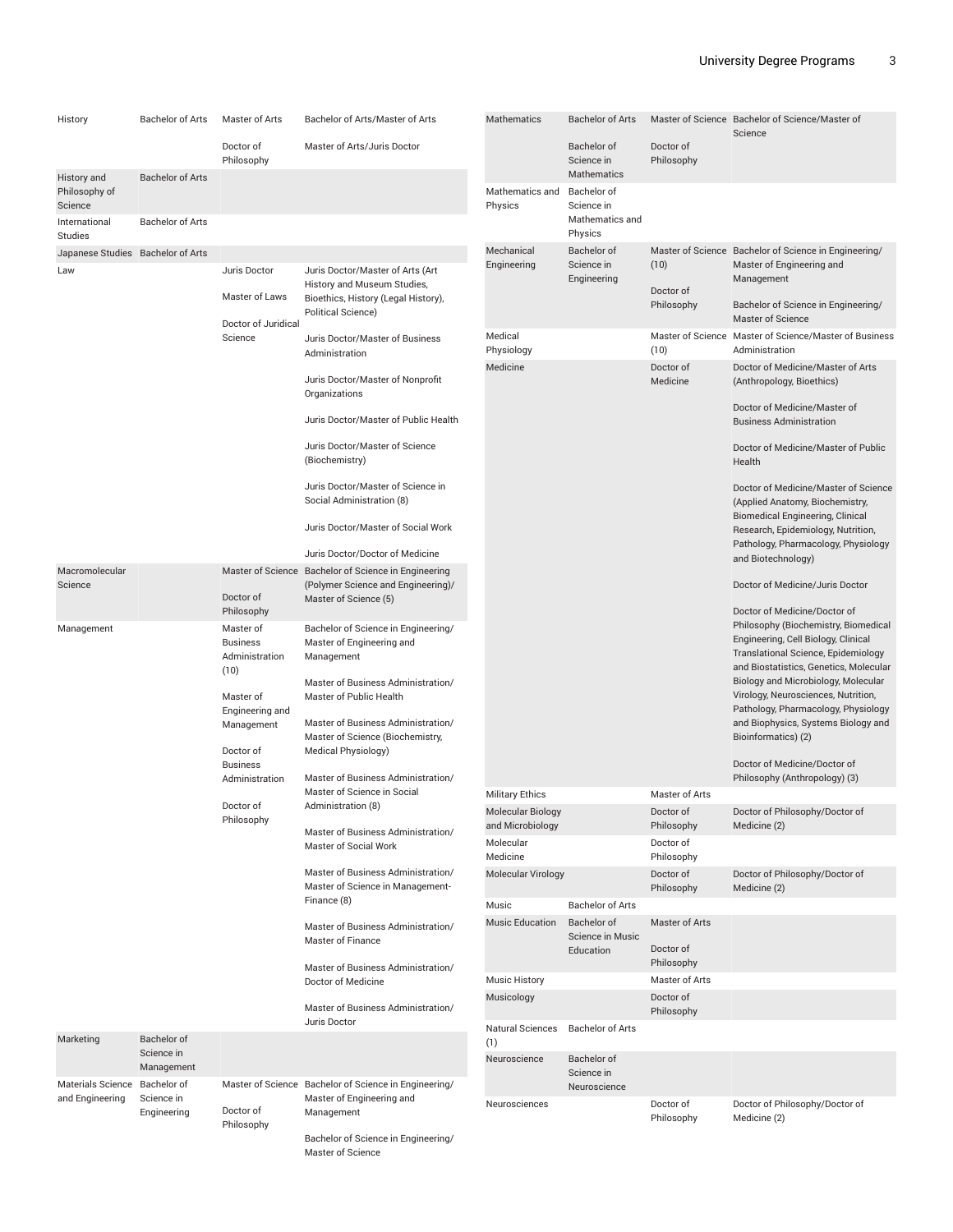| History                              | <b>Bachelor of Arts</b>                  | Master of Arts                        | Bachelor of Arts/Master of Arts                                                                                                                                | Mathematics                   | <b>Bachelor of Arts</b>         |                         | Master of Science Bachelor of Science/Master of<br>Science                                                    |
|--------------------------------------|------------------------------------------|---------------------------------------|----------------------------------------------------------------------------------------------------------------------------------------------------------------|-------------------------------|---------------------------------|-------------------------|---------------------------------------------------------------------------------------------------------------|
|                                      |                                          | Doctor of<br>Philosophy               | Master of Arts/Juris Doctor                                                                                                                                    |                               | Bachelor of<br>Science in       | Doctor of<br>Philosophy |                                                                                                               |
| History and<br>Philosophy of         | <b>Bachelor of Arts</b>                  |                                       |                                                                                                                                                                | Mathematics and               | Mathematics<br>Bachelor of      |                         |                                                                                                               |
| Science<br>International             | <b>Bachelor of Arts</b>                  |                                       |                                                                                                                                                                | Physics                       | Science in<br>Mathematics and   |                         |                                                                                                               |
| <b>Studies</b>                       |                                          |                                       |                                                                                                                                                                | Mechanical                    | Physics                         |                         |                                                                                                               |
| Japanese Studies Bachelor of Arts    |                                          |                                       | Juris Doctor/Master of Arts (Art                                                                                                                               | Engineering                   | Bachelor of<br>Science in       | (10)                    | Master of Science Bachelor of Science in Engineering/<br>Master of Engineering and                            |
| Law                                  |                                          | Juris Doctor                          | History and Museum Studies,                                                                                                                                    |                               | Engineering                     | Doctor of               | Management                                                                                                    |
|                                      |                                          | Master of Laws<br>Doctor of Juridical | Bioethics, History (Legal History),<br>Political Science)                                                                                                      |                               |                                 | Philosophy              | Bachelor of Science in Engineering/<br><b>Master of Science</b>                                               |
|                                      |                                          | Science                               | Juris Doctor/Master of Business<br>Administration                                                                                                              | Medical<br>Physiology         |                                 | (10)                    | Master of Science Master of Science/Master of Business<br>Administration                                      |
|                                      |                                          |                                       | Juris Doctor/Master of Nonprofit<br>Organizations                                                                                                              | Medicine                      |                                 | Doctor of<br>Medicine   | Doctor of Medicine/Master of Arts<br>(Anthropology, Bioethics)                                                |
|                                      |                                          |                                       | Juris Doctor/Master of Public Health                                                                                                                           |                               |                                 |                         | Doctor of Medicine/Master of<br><b>Business Administration</b>                                                |
|                                      |                                          |                                       | Juris Doctor/Master of Science<br>(Biochemistry)                                                                                                               |                               |                                 |                         | Doctor of Medicine/Master of Public<br>Health                                                                 |
|                                      |                                          |                                       | Juris Doctor/Master of Science in<br>Social Administration (8)                                                                                                 |                               |                                 |                         | Doctor of Medicine/Master of Science<br>(Applied Anatomy, Biochemistry,                                       |
|                                      |                                          |                                       | Juris Doctor/Master of Social Work                                                                                                                             |                               |                                 |                         | Biomedical Engineering, Clinical<br>Research, Epidemiology, Nutrition,<br>Pathology, Pharmacology, Physiology |
|                                      |                                          |                                       | Juris Doctor/Doctor of Medicine                                                                                                                                |                               |                                 |                         | and Biotechnology)                                                                                            |
| Macromolecular<br>Science            |                                          |                                       | Master of Science Bachelor of Science in Engineering<br>(Polymer Science and Engineering)/                                                                     |                               |                                 |                         | Doctor of Medicine/Juris Doctor                                                                               |
|                                      | Doctor of                                |                                       | Master of Science (5)                                                                                                                                          |                               |                                 |                         |                                                                                                               |
| Management                           |                                          | Philosophy<br>Master of               | Bachelor of Science in Engineering/                                                                                                                            |                               |                                 |                         | Doctor of Medicine/Doctor of<br>Philosophy (Biochemistry, Biomedical                                          |
|                                      |                                          | <b>Business</b>                       | Master of Engineering and                                                                                                                                      |                               |                                 |                         | Engineering, Cell Biology, Clinical<br>Translational Science, Epidemiology                                    |
|                                      |                                          | Administration<br>(10)                | Management                                                                                                                                                     |                               |                                 |                         | and Biostatistics, Genetics, Molecular                                                                        |
|                                      |                                          | Master of                             | Master of Business Administration/<br>Master of Public Health<br>Master of Business Administration/<br>Master of Science (Biochemistry,<br>Medical Physiology) |                               |                                 |                         | Biology and Microbiology, Molecular<br>Virology, Neurosciences, Nutrition,                                    |
|                                      |                                          | Engineering and                       |                                                                                                                                                                |                               |                                 |                         | Pathology, Pharmacology, Physiology                                                                           |
|                                      |                                          | Management<br>Doctor of               |                                                                                                                                                                |                               |                                 |                         | and Biophysics, Systems Biology and<br>Bioinformatics) (2)                                                    |
|                                      |                                          | <b>Business</b><br>Administration     | Master of Business Administration/<br>Master of Science in Social                                                                                              |                               |                                 |                         | Doctor of Medicine/Doctor of<br>Philosophy (Anthropology) (3)                                                 |
|                                      |                                          |                                       |                                                                                                                                                                | <b>Military Ethics</b>        |                                 | Master of Arts          |                                                                                                               |
|                                      |                                          | Doctor of<br>Philosophy               | Administration (8)                                                                                                                                             | Molecular Biology             |                                 | Doctor of               | Doctor of Philosophy/Doctor of                                                                                |
|                                      |                                          |                                       | Master of Business Administration/<br>Master of Social Work                                                                                                    | and Microbiology<br>Molecular |                                 | Philosophy<br>Doctor of | Medicine (2)                                                                                                  |
|                                      |                                          |                                       |                                                                                                                                                                | Medicine                      |                                 | Philosophy              |                                                                                                               |
|                                      |                                          |                                       | Master of Business Administration/<br>Master of Science in Management-                                                                                         | Molecular Virology            |                                 | Doctor of<br>Philosophy | Doctor of Philosophy/Doctor of<br>Medicine (2)                                                                |
|                                      |                                          |                                       | Finance (8)                                                                                                                                                    | Music                         | <b>Bachelor of Arts</b>         |                         |                                                                                                               |
|                                      |                                          |                                       | Master of Business Administration/<br>Master of Finance                                                                                                        | <b>Music Education</b>        | Bachelor of<br>Science in Music | Master of Arts          |                                                                                                               |
|                                      |                                          |                                       | Master of Business Administration/                                                                                                                             |                               | Education                       | Doctor of<br>Philosophy |                                                                                                               |
|                                      |                                          |                                       | Doctor of Medicine                                                                                                                                             | <b>Music History</b>          |                                 | Master of Arts          |                                                                                                               |
|                                      |                                          |                                       | Master of Business Administration/                                                                                                                             | Musicology                    |                                 | Doctor of<br>Philosophy |                                                                                                               |
| Marketing                            | Bachelor of                              |                                       | Juris Doctor                                                                                                                                                   | Natural Sciences<br>(1)       | <b>Bachelor of Arts</b>         |                         |                                                                                                               |
|                                      | Science in<br>Management                 |                                       |                                                                                                                                                                | Neuroscience                  | Bachelor of<br>Science in       |                         |                                                                                                               |
| Materials Science<br>and Engineering | Bachelor of<br>Science in<br>Engineering | Doctor of<br>Philosophy               | Master of Science Bachelor of Science in Engineering/<br>Master of Engineering and                                                                             |                               | Neuroscience                    |                         |                                                                                                               |
|                                      |                                          |                                       | Management                                                                                                                                                     | Neurosciences                 |                                 | Doctor of<br>Philosophy | Doctor of Philosophy/Doctor of<br>Medicine (2)                                                                |
|                                      |                                          |                                       | Bachelor of Science in Engineering/                                                                                                                            |                               |                                 |                         |                                                                                                               |

Master of Science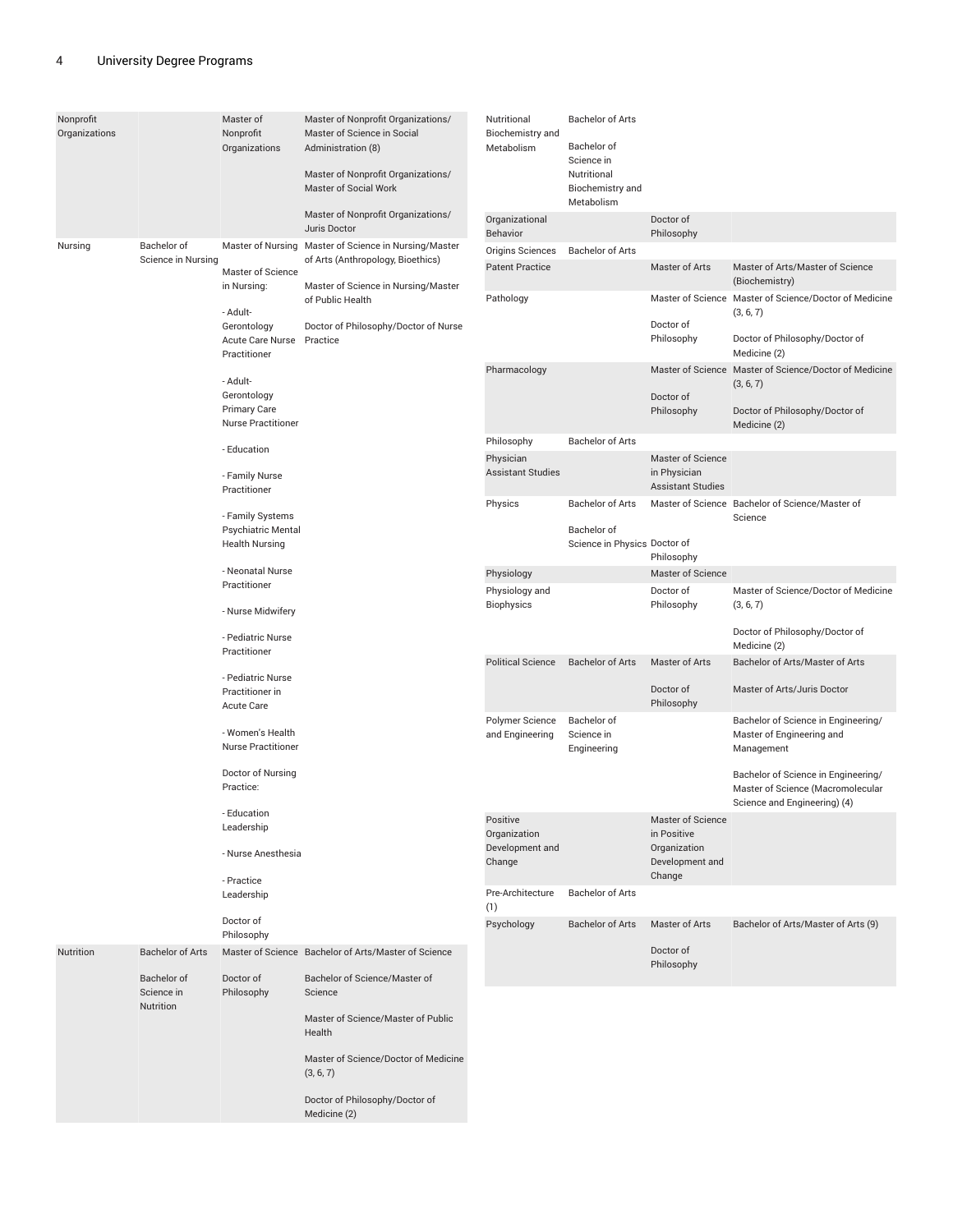| Nonprofit<br>Organizations |                                        | Master of<br>Nonprofit<br>Organizations                              | Master of Nonprofit Organizations/<br>Master of Science in Social<br>Administration (8)<br>Master of Nonprofit Organizations/<br>Master of Social Work<br>Master of Nonprofit Organizations/<br>Juris Doctor | Nutritional<br>Biochemistry and<br>Metabolism<br>Organizational | <b>Bachelor of Arts</b><br>Bachelor of<br>Science in<br>Nutritional<br>Biochemistry and<br>Metabolism | Doctor of                                 |                                                                                |
|----------------------------|----------------------------------------|----------------------------------------------------------------------|--------------------------------------------------------------------------------------------------------------------------------------------------------------------------------------------------------------|-----------------------------------------------------------------|-------------------------------------------------------------------------------------------------------|-------------------------------------------|--------------------------------------------------------------------------------|
| Nursing                    | Bachelor of                            |                                                                      | Master of Nursing Master of Science in Nursing/Master                                                                                                                                                        | Behavior                                                        |                                                                                                       | Philosophy                                |                                                                                |
|                            | Science in Nursing                     |                                                                      | of Arts (Anthropology, Bioethics)                                                                                                                                                                            | Origins Sciences                                                | <b>Bachelor of Arts</b>                                                                               |                                           |                                                                                |
|                            |                                        | Master of Science                                                    |                                                                                                                                                                                                              | <b>Patent Practice</b>                                          |                                                                                                       | Master of Arts                            | Master of Arts/Master of Science<br>(Biochemistry)                             |
|                            |                                        | in Nursing:                                                          | Master of Science in Nursing/Master<br>of Public Health                                                                                                                                                      | Pathology                                                       |                                                                                                       |                                           | Master of Science Master of Science/Doctor of Medicine                         |
|                            |                                        | - Adult-<br>Gerontology<br>Acute Care Nurse Practice<br>Practitioner | Doctor of Philosophy/Doctor of Nurse                                                                                                                                                                         |                                                                 |                                                                                                       | Doctor of<br>Philosophy                   | (3, 6, 7)<br>Doctor of Philosophy/Doctor of<br>Medicine (2)                    |
|                            |                                        |                                                                      |                                                                                                                                                                                                              | Pharmacology                                                    |                                                                                                       |                                           | Master of Science Master of Science/Doctor of Medicine                         |
|                            |                                        | - Adult-                                                             |                                                                                                                                                                                                              |                                                                 |                                                                                                       |                                           | (3, 6, 7)                                                                      |
|                            |                                        | Gerontology<br><b>Primary Care</b><br><b>Nurse Practitioner</b>      |                                                                                                                                                                                                              |                                                                 |                                                                                                       | Doctor of<br>Philosophy                   | Doctor of Philosophy/Doctor of<br>Medicine (2)                                 |
|                            |                                        |                                                                      |                                                                                                                                                                                                              | Philosophy                                                      | <b>Bachelor of Arts</b>                                                                               |                                           |                                                                                |
|                            |                                        | - Education                                                          |                                                                                                                                                                                                              | Physician                                                       |                                                                                                       | Master of Science                         |                                                                                |
|                            |                                        | - Family Nurse<br>Practitioner                                       |                                                                                                                                                                                                              | <b>Assistant Studies</b>                                        |                                                                                                       | in Physician<br><b>Assistant Studies</b>  |                                                                                |
|                            |                                        | - Family Systems                                                     |                                                                                                                                                                                                              | Physics                                                         | <b>Bachelor of Arts</b>                                                                               |                                           | Master of Science Bachelor of Science/Master of                                |
|                            |                                        | Psychiatric Mental<br><b>Health Nursing</b>                          |                                                                                                                                                                                                              |                                                                 | Bachelor of<br>Science in Physics Doctor of                                                           |                                           | Science                                                                        |
|                            |                                        | - Neonatal Nurse                                                     |                                                                                                                                                                                                              | Physiology                                                      |                                                                                                       | Philosophy<br>Master of Science           |                                                                                |
|                            |                                        | Practitioner                                                         |                                                                                                                                                                                                              | Physiology and                                                  |                                                                                                       | Doctor of                                 | Master of Science/Doctor of Medicine                                           |
|                            |                                        | - Nurse Midwifery                                                    |                                                                                                                                                                                                              | <b>Biophysics</b>                                               |                                                                                                       | Philosophy                                | (3, 6, 7)                                                                      |
|                            |                                        | - Pediatric Nurse<br>Practitioner                                    |                                                                                                                                                                                                              |                                                                 |                                                                                                       |                                           | Doctor of Philosophy/Doctor of<br>Medicine (2)                                 |
|                            |                                        | - Pediatric Nurse                                                    |                                                                                                                                                                                                              | <b>Political Science</b>                                        | <b>Bachelor of Arts</b>                                                                               | Master of Arts                            | Bachelor of Arts/Master of Arts                                                |
|                            |                                        | Practitioner in<br>Acute Care                                        |                                                                                                                                                                                                              |                                                                 |                                                                                                       | Doctor of<br>Philosophy                   | Master of Arts/Juris Doctor                                                    |
|                            |                                        | - Women's Health<br><b>Nurse Practitioner</b>                        |                                                                                                                                                                                                              | Polymer Science<br>and Engineering                              | Bachelor of<br>Science in<br>Engineering                                                              |                                           | Bachelor of Science in Engineering/<br>Master of Engineering and<br>Management |
|                            |                                        | Doctor of Nursing<br>Practice:                                       |                                                                                                                                                                                                              |                                                                 |                                                                                                       |                                           | Bachelor of Science in Engineering/<br>Master of Science (Macromolecular       |
|                            |                                        |                                                                      |                                                                                                                                                                                                              |                                                                 |                                                                                                       |                                           | Science and Engineering) (4)                                                   |
|                            |                                        | - Education<br>Leadership                                            |                                                                                                                                                                                                              | Positive<br>Organization                                        |                                                                                                       | Master of Science<br>in Positive          |                                                                                |
|                            |                                        | - Nurse Anesthesia                                                   |                                                                                                                                                                                                              | Development and<br>Change                                       |                                                                                                       | Organization<br>Development and<br>Change |                                                                                |
|                            |                                        | - Practice<br>Leadership                                             |                                                                                                                                                                                                              | Pre-Architecture<br>(1)                                         | <b>Bachelor of Arts</b>                                                                               |                                           |                                                                                |
|                            |                                        | Doctor of<br>Philosophy                                              |                                                                                                                                                                                                              | Psychology                                                      | <b>Bachelor of Arts</b>                                                                               | Master of Arts                            | Bachelor of Arts/Master of Arts (9)                                            |
| Nutrition                  | <b>Bachelor of Arts</b>                |                                                                      | Master of Science Bachelor of Arts/Master of Science                                                                                                                                                         |                                                                 |                                                                                                       | Doctor of<br>Philosophy                   |                                                                                |
|                            | Bachelor of<br>Science in<br>Nutrition | Doctor of<br>Philosophy                                              | Bachelor of Science/Master of<br>Science                                                                                                                                                                     |                                                                 |                                                                                                       |                                           |                                                                                |
|                            |                                        |                                                                      | Master of Science/Master of Public<br>Health                                                                                                                                                                 |                                                                 |                                                                                                       |                                           |                                                                                |
|                            |                                        |                                                                      | Master of Science/Doctor of Medicine<br>(3, 6, 7)                                                                                                                                                            |                                                                 |                                                                                                       |                                           |                                                                                |
|                            |                                        |                                                                      | Doctor of Philosophy/Doctor of<br>Medicine (2)                                                                                                                                                               |                                                                 |                                                                                                       |                                           |                                                                                |